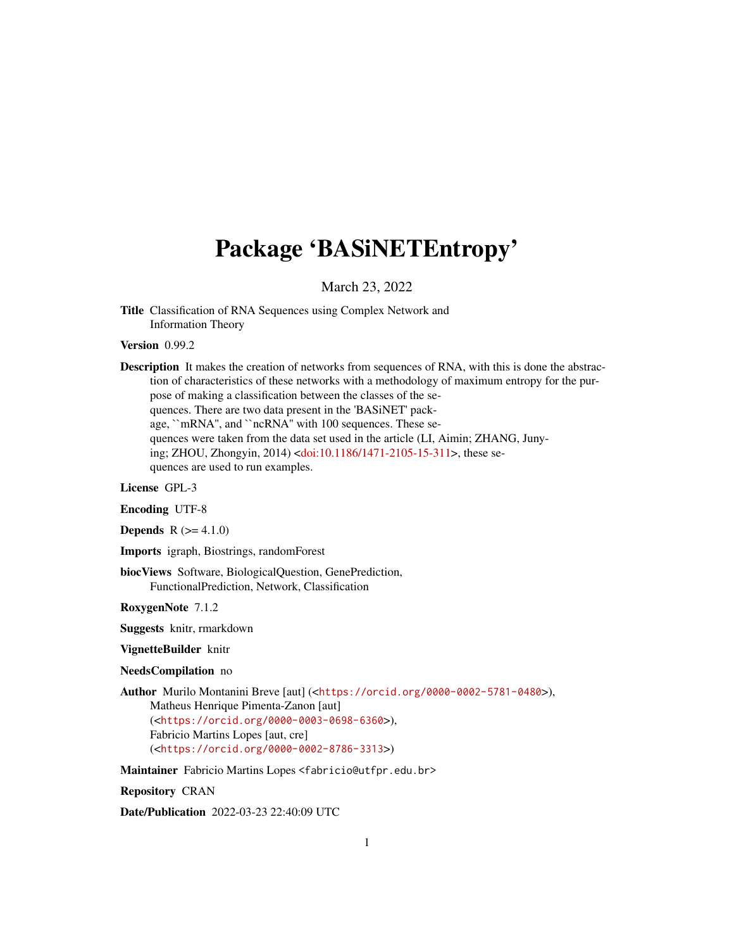## Package 'BASiNETEntropy'

March 23, 2022

Title Classification of RNA Sequences using Complex Network and Information Theory

Version 0.99.2

Description It makes the creation of networks from sequences of RNA, with this is done the abstraction of characteristics of these networks with a methodology of maximum entropy for the purpose of making a classification between the classes of the sequences. There are two data present in the 'BASiNET' package, ``mRNA'', and ``ncRNA'' with 100 sequences. These sequences were taken from the data set used in the article (LI, Aimin; ZHANG, Junying; ZHOU, Zhongyin, 2014) [<doi:10.1186/1471-2105-15-311>](https://doi.org/10.1186/1471-2105-15-311), these sequences are used to run examples.

License GPL-3

Encoding UTF-8

**Depends** R  $(>= 4.1.0)$ 

Imports igraph, Biostrings, randomForest

biocViews Software, BiologicalQuestion, GenePrediction, FunctionalPrediction, Network, Classification

RoxygenNote 7.1.2

Suggests knitr, rmarkdown

VignetteBuilder knitr

NeedsCompilation no

Author Murilo Montanini Breve [aut] (<<https://orcid.org/0000-0002-5781-0480>>), Matheus Henrique Pimenta-Zanon [aut] (<<https://orcid.org/0000-0003-0698-6360>>),

Fabricio Martins Lopes [aut, cre] (<<https://orcid.org/0000-0002-8786-3313>>)

Maintainer Fabricio Martins Lopes <fabricio@utfpr.edu.br>

Repository CRAN

Date/Publication 2022-03-23 22:40:09 UTC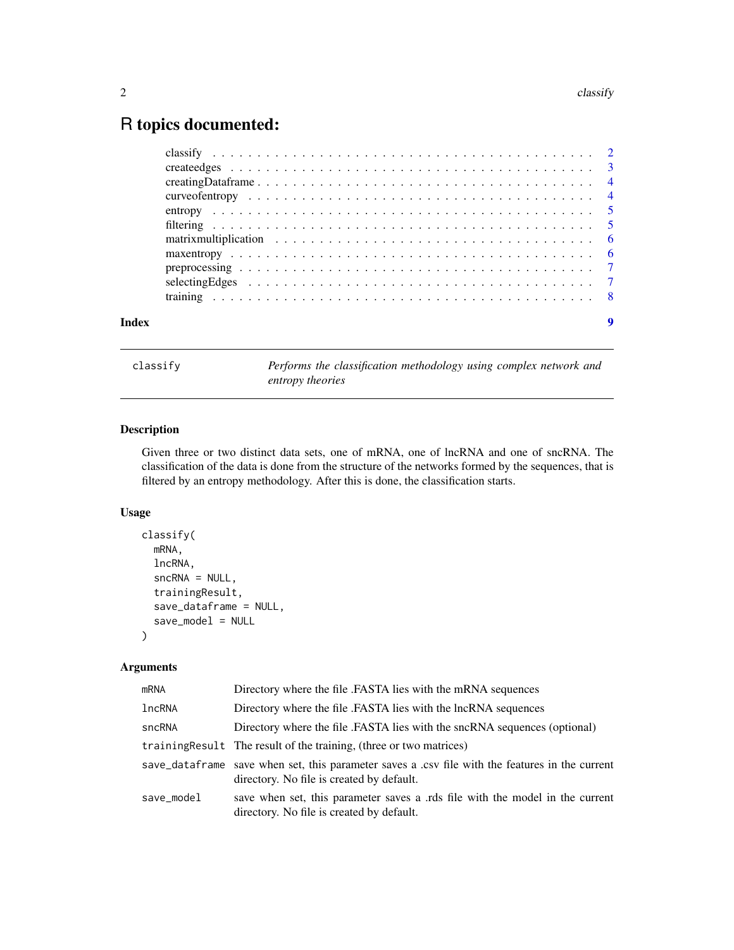### <span id="page-1-0"></span>R topics documented:

|       | selecting Edges $\ldots \ldots \ldots \ldots \ldots \ldots \ldots \ldots \ldots \ldots \ldots \ldots \ldots$ |  |
|-------|--------------------------------------------------------------------------------------------------------------|--|
|       |                                                                                                              |  |
| Index |                                                                                                              |  |

classify *Performs the classification methodology using complex network and entropy theories*

#### Description

Given three or two distinct data sets, one of mRNA, one of lncRNA and one of sncRNA. The classification of the data is done from the structure of the networks formed by the sequences, that is filtered by an entropy methodology. After this is done, the classification starts.

#### Usage

```
classify(
  mRNA,
  lncRNA,
  sncRNA = NULL,
  trainingResult,
  save_dataframe = NULL,
  save_model = NULL
\mathcal{L}
```
#### Arguments

| mRNA       | Directory where the file .FASTA lies with the mRNA sequences                                                                                 |
|------------|----------------------------------------------------------------------------------------------------------------------------------------------|
| lncRNA     | Directory where the file .FASTA lies with the lncRNA sequences                                                                               |
| sncRNA     | Directory where the file .FASTA lies with the sncRNA sequences (optional)                                                                    |
|            | training Result The result of the training, (three or two matrices)                                                                          |
|            | save_dataframe save when set, this parameter saves a .csv file with the features in the current<br>directory. No file is created by default. |
| save model | save when set, this parameter saves a rds file with the model in the current<br>directory. No file is created by default.                    |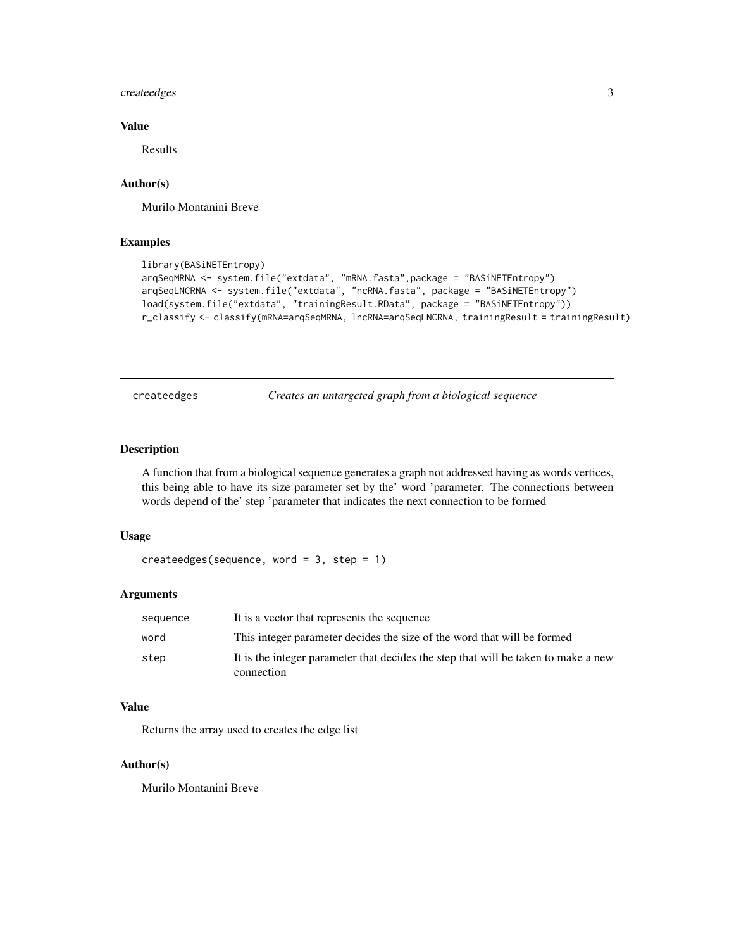#### <span id="page-2-0"></span>createedges 3

#### Value

Results

#### Author(s)

Murilo Montanini Breve

#### Examples

```
library(BASiNETEntropy)
arqSeqMRNA <- system.file("extdata", "mRNA.fasta",package = "BASiNETEntropy")
arqSeqLNCRNA <- system.file("extdata", "ncRNA.fasta", package = "BASiNETEntropy")
load(system.file("extdata", "trainingResult.RData", package = "BASiNETEntropy"))
r_classify <- classify(mRNA=arqSeqMRNA, lncRNA=arqSeqLNCRNA, trainingResult = trainingResult)
```
createedges *Creates an untargeted graph from a biological sequence*

#### Description

A function that from a biological sequence generates a graph not addressed having as words vertices, this being able to have its size parameter set by the' word 'parameter. The connections between words depend of the' step 'parameter that indicates the next connection to be formed

#### Usage

```
createedges(sequence, word = 3, step = 1)
```
#### Arguments

| sequence | It is a vector that represents the sequence                                                      |
|----------|--------------------------------------------------------------------------------------------------|
| word     | This integer parameter decides the size of the word that will be formed                          |
| step     | It is the integer parameter that decides the step that will be taken to make a new<br>connection |

#### Value

Returns the array used to creates the edge list

#### Author(s)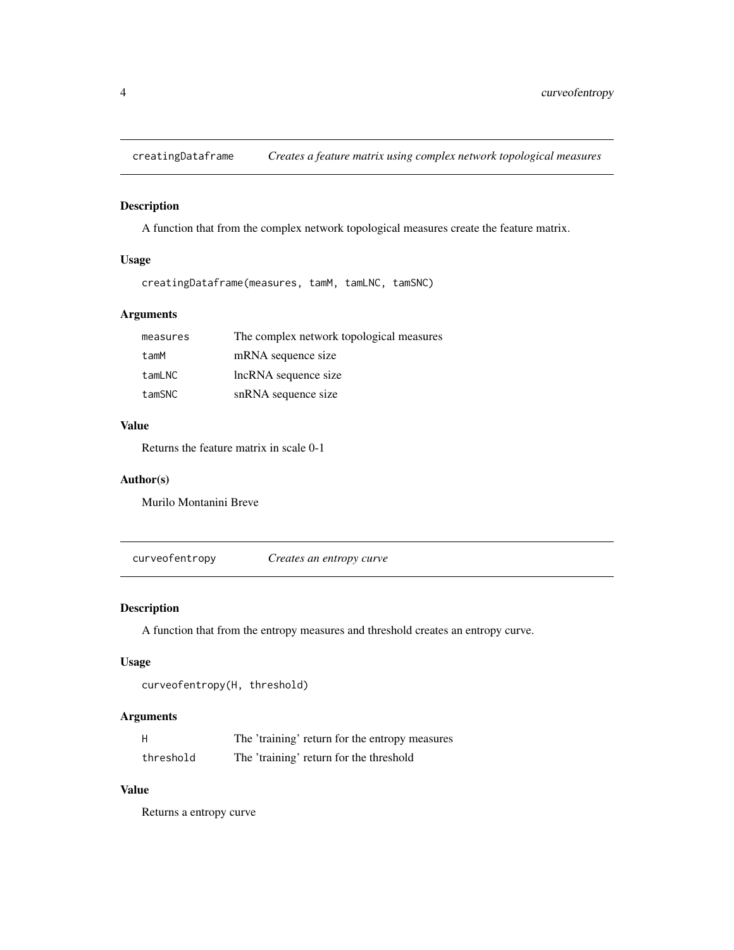<span id="page-3-0"></span>

#### Description

A function that from the complex network topological measures create the feature matrix.

#### Usage

creatingDataframe(measures, tamM, tamLNC, tamSNC)

#### Arguments

| measures | The complex network topological measures |
|----------|------------------------------------------|
| tamM     | mRNA sequence size                       |
| tamLNC   | lncRNA sequence size                     |
| tamSNC   | snRNA sequence size                      |

#### Value

Returns the feature matrix in scale 0-1

#### Author(s)

Murilo Montanini Breve

curveofentropy *Creates an entropy curve*

#### Description

A function that from the entropy measures and threshold creates an entropy curve.

#### Usage

```
curveofentropy(H, threshold)
```
#### Arguments

| H         | The 'training' return for the entropy measures |
|-----------|------------------------------------------------|
| threshold | The 'training' return for the threshold        |

#### Value

Returns a entropy curve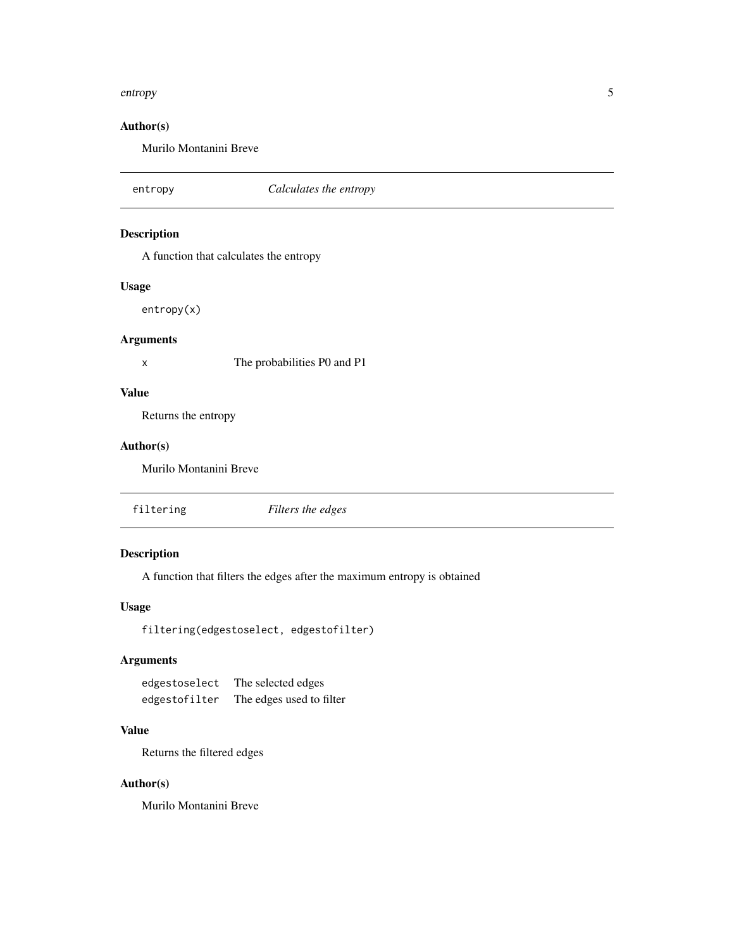#### <span id="page-4-0"></span>entropy 5

#### Author(s)

Murilo Montanini Breve

entropy *Calculates the entropy* Description A function that calculates the entropy Usage entropy(x) Arguments x The probabilities P0 and P1 Value Returns the entropy Author(s) Murilo Montanini Breve filtering *Filters the edges*

#### Description

A function that filters the edges after the maximum entropy is obtained

#### Usage

filtering(edgestoselect, edgestofilter)

#### Arguments

edgestoselect The selected edges edgestofilter The edges used to filter

#### Value

Returns the filtered edges

#### Author(s)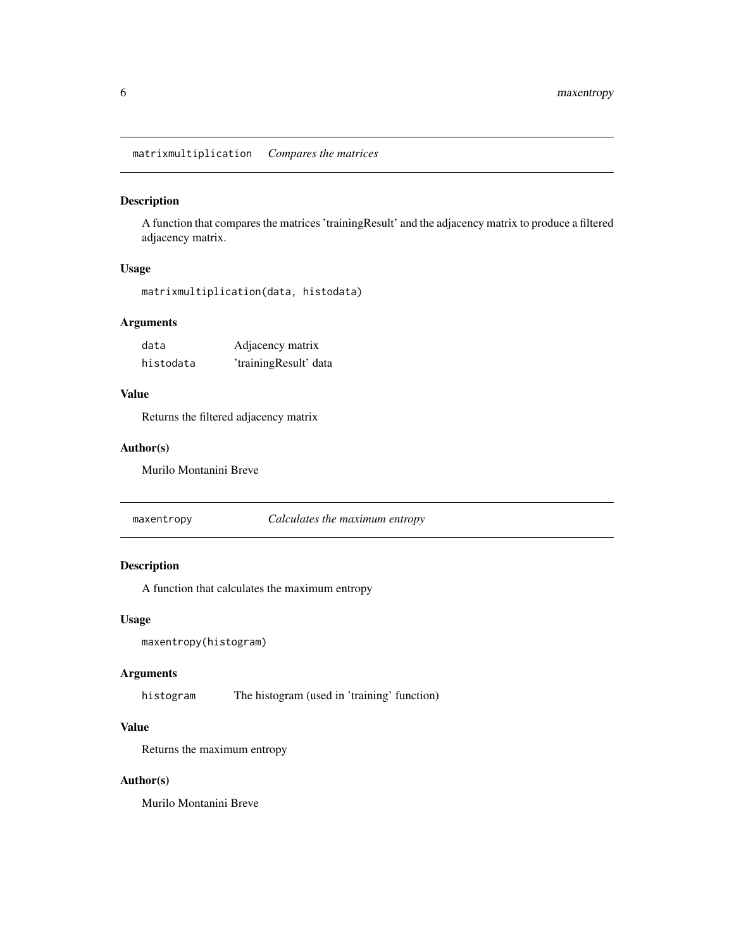#### <span id="page-5-0"></span>Description

A function that compares the matrices 'trainingResult' and the adjacency matrix to produce a filtered adjacency matrix.

#### Usage

```
matrixmultiplication(data, histodata)
```
#### Arguments

| data      | Adjacency matrix      |
|-----------|-----------------------|
| histodata | 'trainingResult' data |

#### Value

Returns the filtered adjacency matrix

#### Author(s)

Murilo Montanini Breve

maxentropy *Calculates the maximum entropy*

#### Description

A function that calculates the maximum entropy

#### Usage

```
maxentropy(histogram)
```
#### Arguments

histogram The histogram (used in 'training' function)

#### Value

Returns the maximum entropy

#### Author(s)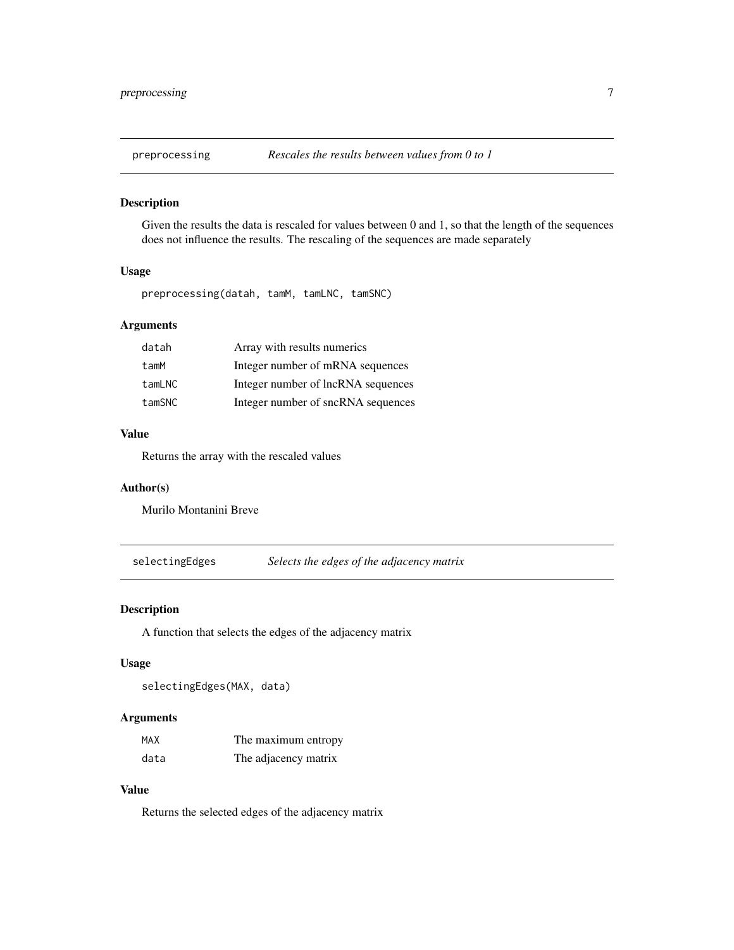<span id="page-6-0"></span>

#### Description

Given the results the data is rescaled for values between 0 and 1, so that the length of the sequences does not influence the results. The rescaling of the sequences are made separately

#### Usage

preprocessing(datah, tamM, tamLNC, tamSNC)

#### Arguments

| datah  | Array with results numerics        |
|--------|------------------------------------|
| tamM   | Integer number of mRNA sequences   |
| tamLNC | Integer number of lncRNA sequences |
| tamSNC | Integer number of sncRNA sequences |

#### Value

Returns the array with the rescaled values

#### Author(s)

Murilo Montanini Breve

selectingEdges *Selects the edges of the adjacency matrix*

#### Description

A function that selects the edges of the adjacency matrix

#### Usage

selectingEdges(MAX, data)

#### Arguments

| MAX  | The maximum entropy  |
|------|----------------------|
| data | The adjacency matrix |

#### Value

Returns the selected edges of the adjacency matrix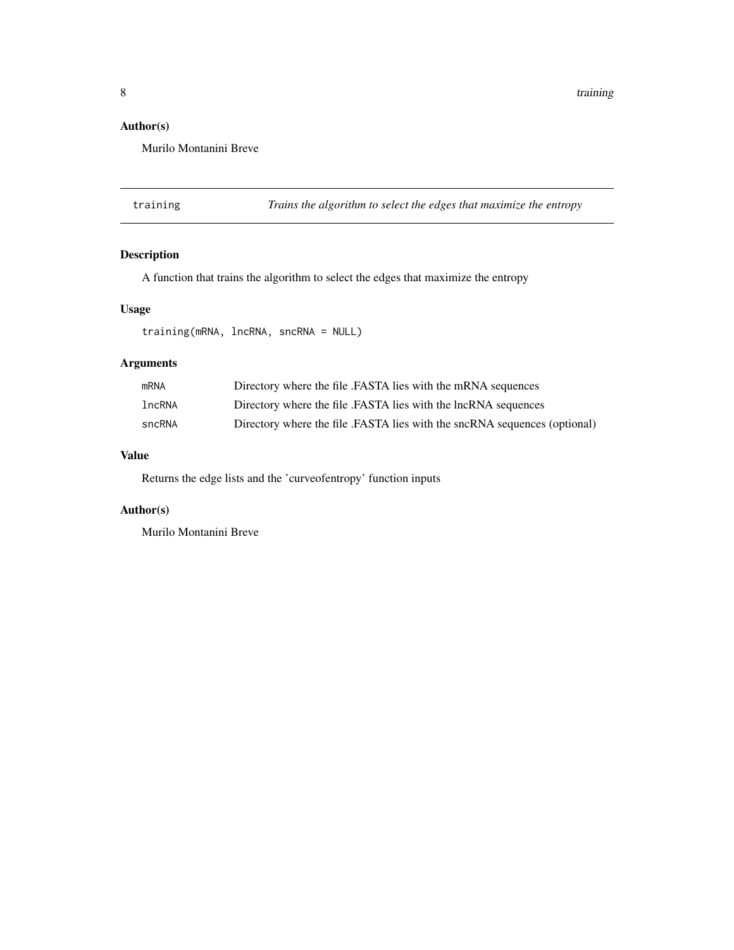<span id="page-7-0"></span>8 training the state of the state of the state of the state of the state of the state of the state of the state of the state of the state of the state of the state of the state of the state of the state of the state of the

#### Author(s)

Murilo Montanini Breve

training *Trains the algorithm to select the edges that maximize the entropy*

#### Description

A function that trains the algorithm to select the edges that maximize the entropy

#### Usage

```
training(mRNA, lncRNA, sncRNA = NULL)
```
#### Arguments

| <b>mRNA</b> | Directory where the file .FASTA lies with the mRNA sequences              |
|-------------|---------------------------------------------------------------------------|
| lncRNA      | Directory where the file .FASTA lies with the lncRNA sequences            |
| sncRNA      | Directory where the file .FASTA lies with the sncRNA sequences (optional) |

#### Value

Returns the edge lists and the 'curveofentropy' function inputs

#### Author(s)